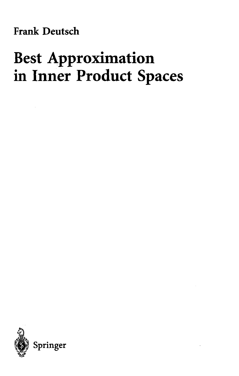**Frank Deutsch**

# **Best Approximation in Inner Product Spaces**

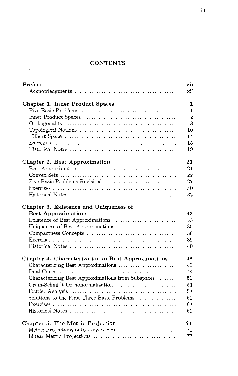## **CONTENTS**

 $\sim 10^{-1}$ 

 $\sim 100$  km s  $^{-1}$ 

| Preface                                            | vii            |
|----------------------------------------------------|----------------|
|                                                    | xii            |
| Chapter 1. Inner Product Spaces                    | 1              |
|                                                    | $\mathbf{1}$   |
|                                                    | $\overline{2}$ |
|                                                    | 8              |
|                                                    | 10             |
|                                                    | 14             |
|                                                    | 15             |
|                                                    | 19             |
| Chapter 2. Best Approximation                      | 21             |
|                                                    | 21             |
|                                                    | 22             |
| Five Basic Problems Revisited                      | 27             |
|                                                    | 30             |
|                                                    | 32             |
| Chapter 3. Existence and Uniqueness of             |                |
| <b>Best Approximations</b>                         | 33             |
| Existence of Best Approximations                   | 33             |
|                                                    | 35             |
|                                                    | 38             |
|                                                    | 39             |
|                                                    | 40             |
| Chapter 4. Characterization of Best Approximations | 43             |
| Characterizing Best Approximations                 | 43             |
|                                                    | 44             |
| Characterizing Best Approximations from Subspaces  | 50             |
| Gram-Schmidt Orthonormalization                    | 51             |
|                                                    | 54             |
| Solutions to the First Three Basic Problems        | 61             |
|                                                    | 64             |
|                                                    | 69             |
| Chapter 5. The Metric Projection                   | 71             |
| Metric Projections onto Convex Sets                | 71.            |
|                                                    | 77             |

 $\sim 10^{-1}$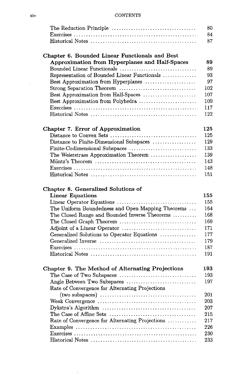#### **CONTENTS**

| The Reduction Principle $\dots \dots \dots \dots \dots \dots \dots \dots \dots \dots$ | 80 |
|---------------------------------------------------------------------------------------|----|
|                                                                                       | 84 |
|                                                                                       | 87 |
|                                                                                       |    |
| Chapter 6. Bounded Linear Functionals and Best                                        |    |
| Approximation from Hyperplanes and Half-Spaces                                        | 89 |
| Bounded Linear Functionals                                                            | 89 |
| Representation of Bounded Linear Functionals                                          | 93 |

| TO DI COOTINGUIOTI OT TO GITAGO THIRDE I GITORIOTISCHI IIIIII IIIIIIIIII |      |
|--------------------------------------------------------------------------|------|
|                                                                          | - 97 |
|                                                                          | 102  |
|                                                                          | 107  |
|                                                                          | 109  |
|                                                                          | 117  |
|                                                                          | 122  |
|                                                                          |      |

# **Chapter 7. Error of Approximation 125**

# **Chapter 8. Generalized Solutions of**

 $\hat{\boldsymbol{\beta}}$ 

| <b>Linear Equations</b>                                                                            | 155        |
|----------------------------------------------------------------------------------------------------|------------|
|                                                                                                    | 155        |
| The Uniform Boundedness and Open Mapping Theorems                                                  | 164        |
| The Closed Range and Bounded Inverse Theorems                                                      | 168        |
| The Closed Graph Theorem $\ldots \ldots \ldots \ldots \ldots \ldots \ldots \ldots \ldots$          | 169        |
|                                                                                                    | 171        |
| Generalized Solutions to Operator Equations                                                        | 177        |
|                                                                                                    | 179        |
|                                                                                                    | 187        |
|                                                                                                    | 191        |
|                                                                                                    |            |
| Chapter 9. The Method of Alternating Projections                                                   | 193<br>193 |
| Angle Between Two Subspaces                                                                        | 197        |
| Rate of Convergence for Alternating Projections                                                    |            |
|                                                                                                    | 201        |
|                                                                                                    | 203        |
| Dykstra's Algorithm $\ldots \ldots \ldots \ldots \ldots \ldots \ldots \ldots \ldots \ldots \ldots$ | 207        |
|                                                                                                    | 215        |
| Rate of Convergence for Alternating Projections                                                    | 217        |
|                                                                                                    | 226        |
|                                                                                                    | 230        |
|                                                                                                    | 233        |